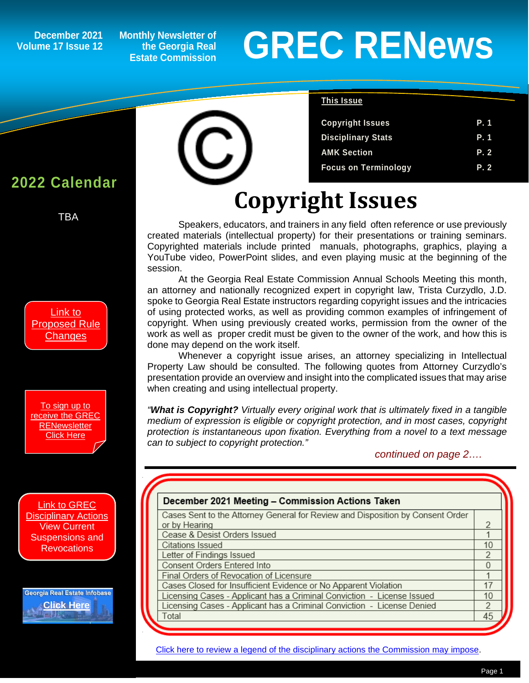**Volume 17 Issue 12**

**Monthly Newsletter of the Georgia Real Estate Commission**

# December 2021 Monthly Newsletter of<br>
Lime 17 Issue 12 Listate Commission<br>
Estate Commission

**Copyright Issues P. 1 Disciplinary Stats P. 1 AMK Section P. 2 Focus on Terminology P. 2**

**This Issue**

#### **2022 Calendar**

*1*

TBA

[Link to](https://grec.state.ga.us/information-research/legislation/real-estate/)  [Proposed Rule](https://grec.state.ga.us/information-research/legislation/real-estate/)  **[Changes](https://grec.state.ga.us/information-research/legislation/real-estate/)** 

[To sign up to](https://grec.state.ga.us/newsletters/)  [receive the GREC](https://grec.state.ga.us/newsletters/)  **RENewsletter** [Click Here](https://grec.state.ga.us/newsletters/)

[Link to GREC](https://grec.state.ga.us/information-research/disciplinary-actions/real-estate/)  [Disciplinary Actions](https://grec.state.ga.us/information-research/disciplinary-actions/real-estate/) View Current Suspensions and **Revocations** 

Georgia Real Estate Infobase **[Click Here](https://www.grec.state.ga.us/infobase/infobase.html)**



## **Copyright Issues**

Speakers, educators, and trainers in any field often reference or use previously created materials (intellectual property) for their presentations or training seminars. Copyrighted materials include printed manuals, photographs, graphics, playing a YouTube video, PowerPoint slides, and even playing music at the beginning of the session.

At the Georgia Real Estate Commission Annual Schools Meeting this month, an attorney and nationally recognized expert in copyright law, Trista Curzydlo, J.D. spoke to Georgia Real Estate instructors regarding copyright issues and the intricacies of using protected works, as well as providing common examples of infringement of copyright. When using previously created works, permission from the owner of the work as well as proper credit must be given to the owner of the work, and how this is done may depend on the work itself.

Whenever a copyright issue arises, an attorney specializing in Intellectual Property Law should be consulted. The following quotes from Attorney Curzydlo's presentation provide an overview and insight into the complicated issues that may arise when creating and using intellectual property.

*"What is Copyright? Virtually every original work that is ultimately fixed in a tangible medium of expression is eligible or copyright protection, and in most cases, copyright protection is instantaneous upon fixation. Everything from a novel to a text message can to subject to copyright protection."*

 *continued on page 2….*

| December 2021 Meeting - Commission Actions Taken                               |                |
|--------------------------------------------------------------------------------|----------------|
| Cases Sent to the Attorney General for Review and Disposition by Consent Order |                |
| or by Hearing                                                                  | 2              |
| Cease & Desist Orders Issued                                                   |                |
| Citations Issued                                                               | 10             |
| Letter of Findings Issued                                                      | $\mathfrak{D}$ |
| Consent Orders Entered Into                                                    | 0              |
| Final Orders of Revocation of Licensure                                        |                |
| Cases Closed for Insufficient Evidence or No Apparent Violation                | 17             |
| Licensing Cases - Applicant has a Criminal Conviction - License Issued         | 10             |
| Licensing Cases - Applicant has a Criminal Conviction - License Denied         | 2              |
| Total                                                                          | 45             |

[Click here to review a legend of the disciplinary actions the Commission may impose.](https://www.jmre.com/grec/GRECDisciplinaryTools.pdf)